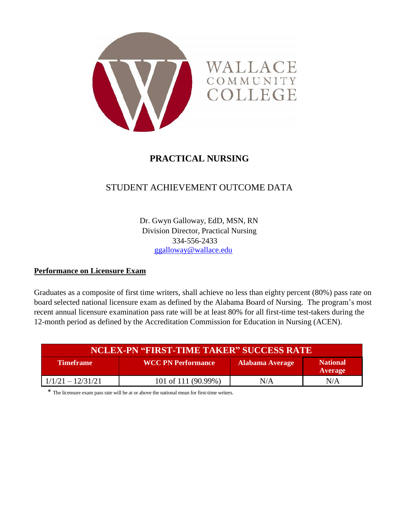

# **PRACTICAL NURSING**

# STUDENT ACHIEVEMENT OUTCOME DATA

Dr. Gwyn Galloway, EdD, MSN, RN Division Director, Practical Nursing 334-556-2433 [ggalloway@wallace.edu](mailto:ggalloway@wallace.edu)

#### **Performance on Licensure Exam**

Graduates as a composite of first time writers, shall achieve no less than eighty percent (80%) pass rate on board selected national licensure exam as defined by the Alabama Board of Nursing. The program's most recent annual licensure examination pass rate will be at least 80% for all first-time test-takers during the 12-month period as defined by the Accreditation Commission for Education in Nursing (ACEN).

| <b>NCLEX-PN "FIRST-TIME TAKER" SUCCESS RATE</b> |                           |     |                                   |  |  |  |
|-------------------------------------------------|---------------------------|-----|-----------------------------------|--|--|--|
| <b>Timeframe</b>                                | <b>WCC PN Performance</b> |     | <b>National</b><br><b>Average</b> |  |  |  |
| $1/1/21 - 12/31/21$                             | 101 of 111 (90.99%)       | N/A | N/A                               |  |  |  |

\* The licensure exam pass rate will be at or above the national mean for first-time writers.